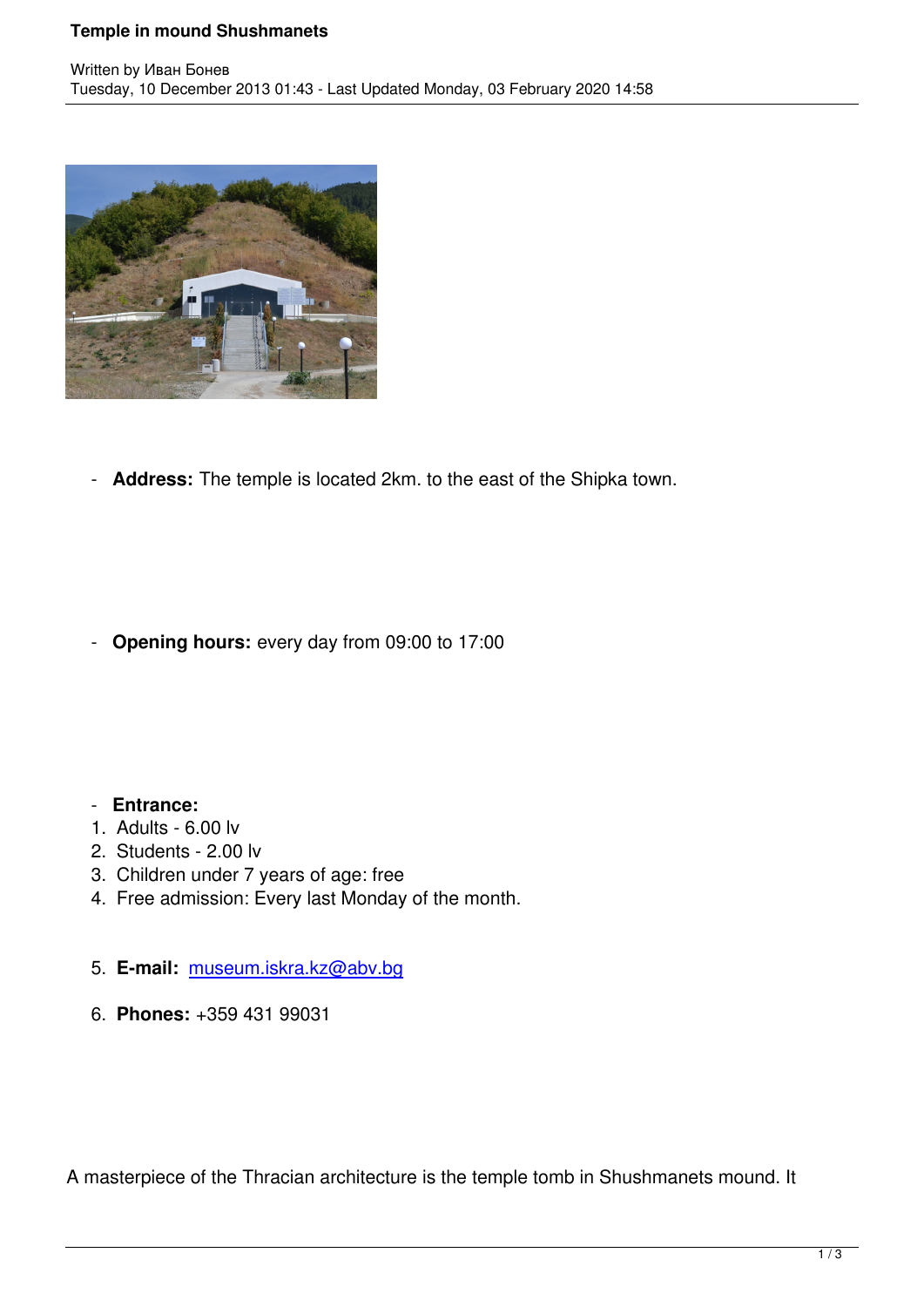

- **Address:** The temple is located 2km. to the east of the Shipka town.

- **Opening hours:** every day from 09:00 to 17:00

## - **Entrance:**

- 1. Adults 6.00 lv
- 2. Students 2.00 lv
- 3. Children under 7 years of age: free
- 4. Free admission: Every last Monday of the month.
- 5. **E-mail:** museum.iskra.kz@abv.bg
- 6. **Phones:** +359 431 99031

A masterpiece of the Thracian architecture is the temple tomb in Shushmanets mound. It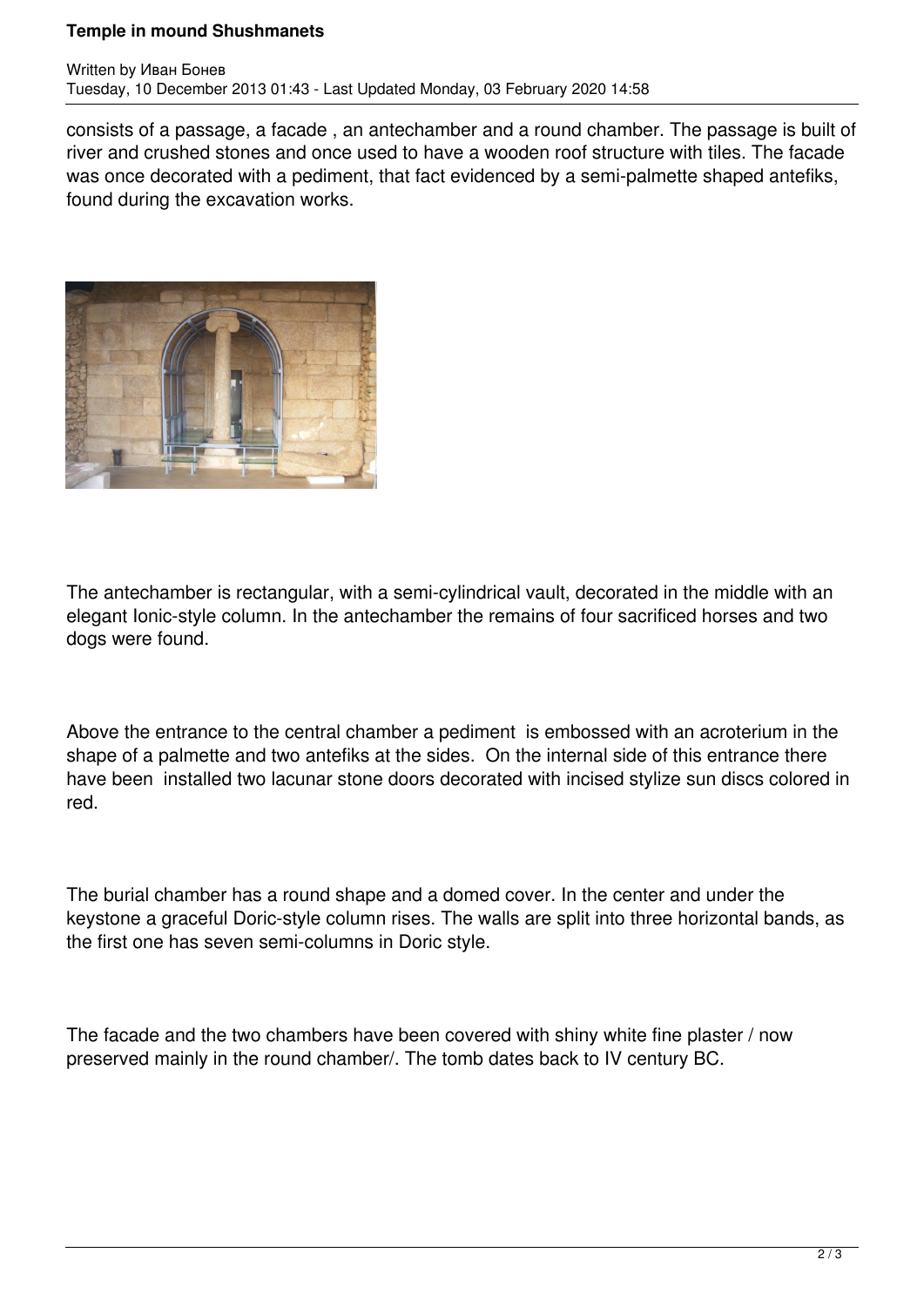## **Temple in mound Shushmanets**

consists of a passage, a facade , an antechamber and a round chamber. The passage is built of river and crushed stones and once used to have a wooden roof structure with tiles. The facade was once decorated with a pediment, that fact evidenced by a semi-palmette shaped antefiks, found during the excavation works.



The antechamber is rectangular, with a semi-cylindrical vault, decorated in the middle with an elegant Ionic-style column. In the antechamber the remains of four sacrificed horses and two dogs were found.

Above the entrance to the central chamber a pediment is embossed with an acroterium in the shape of a palmette and two antefiks at the sides. On the internal side of this entrance there have been installed two lacunar stone doors decorated with incised stylize sun discs colored in red.

The burial chamber has a round shape and a domed cover. In the center and under the keystone a graceful Doric-style column rises. The walls are split into three horizontal bands, as the first one has seven semi-columns in Doric style.

The facade and the two chambers have been covered with shiny white fine plaster / now preserved mainly in the round chamber/. The tomb dates back to IV century BC.